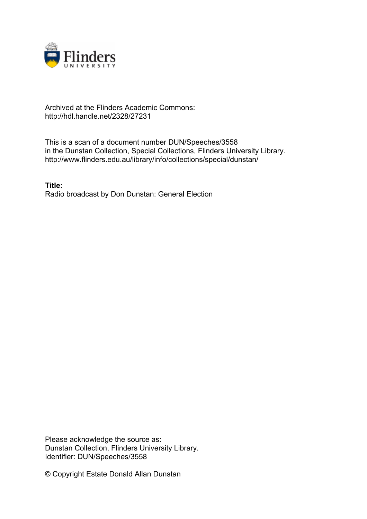

## Archived at the Flinders Academic Commons: http://hdl.handle.net/2328/27231

This is a scan of a document number DUN/Speeches/3558 in the Dunstan Collection, Special Collections, Flinders University Library. http://www.flinders.edu.au/library/info/collections/special/dunstan/

**Title:** Radio broadcast by Don Dunstan: General Election

Please acknowledge the source as: Dunstan Collection, Flinders University Library. Identifier: DUN/Speeches/3558

© Copyright Estate Donald Allan Dunstan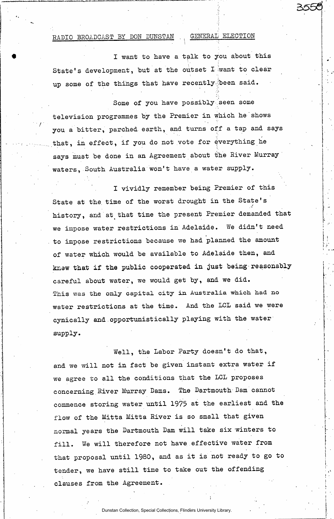## RADIO BROADCAST BY DON DUNSTAN GENERAL ELECTION

I want to have a talk to you about this State's development, but at the outset I want to clear up some of the things that have recently been said.

Some of you have possibly seen some television programmes by the Premier in which he shows you a bitter, parched, earth, and turns off a tap and says that, in effect, if you do not vote for everything he says must be done in an Agreement about the River Murray waters, South Australia won't have a water supply.

I vividly remember being Premier of this State at the. time of the worst drought in the State's history, and at that time the present Premier demanded that we impose water restrictions in Adelaide. We didn't need to impose restrictions because we had planned the amount of water which would be available to Adelaide then, and knew that if the public cooperated in Just being reasonably careful about water, we would get by, and we did. This was the only capital **city** in **Australia which** had no water restrictions at the time. And the LCL said we were cynically and opportunistically playing with the water supply.

Well, the Labor Party doesn't do that, and we will not in fact be given instant extra water if we agree to all the conditions that the LCL proposes concerning River Murray Dams. The Dartmouth-Dam cannot commence storing water until 1975 at the earliest and the flow of the Mitta Mitta River is so small that given normal years the Dartmouth Dam will take six winters to fill. We will therefore not have, effective water from that proposal until 1980, and as it is not ready to go to tender, we have still time to take out the offending clauses from the Agreement.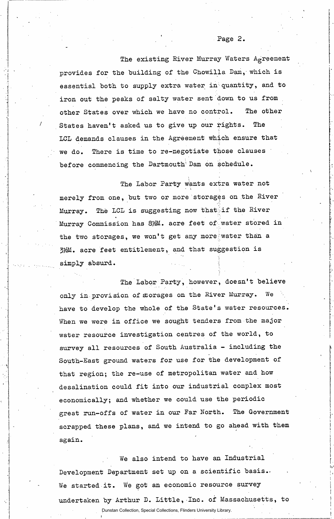The existing River Murray Waters Agreement provides for the building of the Chowilla Dam, which is essential both to supply extra water in quantity, and to iron out the peaks of salty water sent down to us from other States over which we have no control. The other States haven't asked us to give up our rights. The LCL demands clauses in the Agreement which ensure that we do. There is time to re-negotiate those clauses before commencing the Dartmouth Dam on schedule.

The Labor Party wants extra water not merely from one, but two or more storages on the River Murray. The LCL is suggesting now thatiif the River Murray Commission has 8%M. acre feet of water stored in the two storages, we won't get any more-water than a 3>&M. acre feet entitlement, and that suggestion is simply absurd.

The Labor Party, however, doesn't believe only in provision of storages on the River Murray. We have to develop the whole of the State's water resources. When we were in office we sought tenders from the major water resource investigation centres of the world, to survey all resources of South Australia - including the South-East ground waters for use for the development of that region; the re-use of metropolitan water and how desalination could fit into our industrial complex most economically; and whether we could use the periodic great run-offs of water in our Far North. The Government scrapped these plans, and we intend to go ahead with them again.

We also intend to have an Industrial Development Department set up on a scientific basis.. We started it. We got an economic resource survey undertaken by Arthur D. Little, Inc. of Massachusetts, to

Dunstan Collection, Special Collections, Flinders University Library.